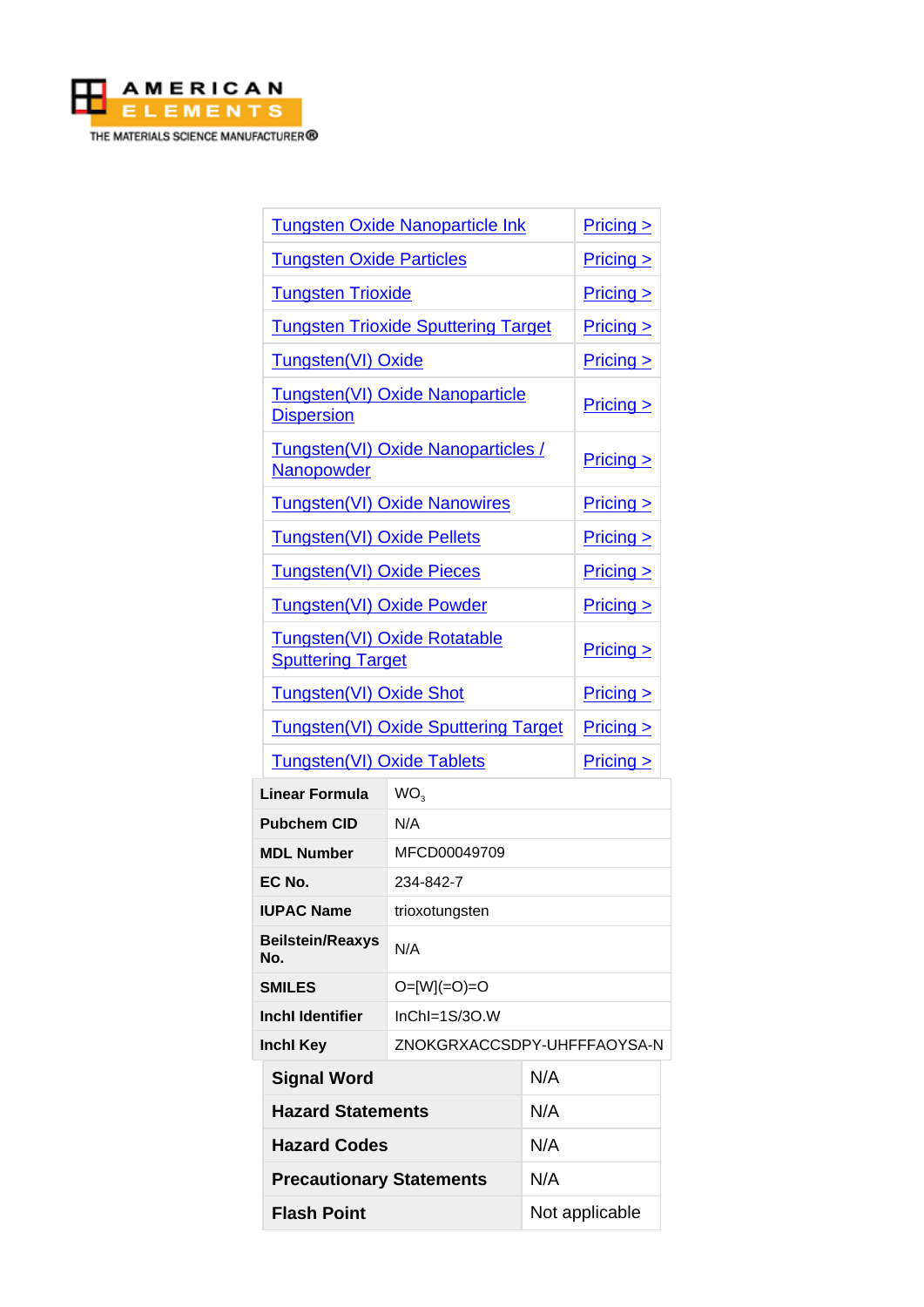

| <b>Tungsten Oxide Nanoparticle Ink</b>                   |                             |           | Pricing       |
|----------------------------------------------------------|-----------------------------|-----------|---------------|
| <b>Tungsten Oxide Particles</b>                          |                             |           | $Pricing \ge$ |
| <b>Tungsten Trioxide</b>                                 |                             |           | Pricing >     |
| <b>Tungsten Trioxide Sputtering Target</b>               |                             |           | Pricing       |
| Tungsten(VI) Oxide                                       |                             |           | $Pricing$     |
| Tungsten(VI) Oxide Nanoparticle<br><b>Dispersion</b>     |                             |           | $Pricing \ge$ |
| Tungsten(VI) Oxide Nanoparticles /<br>Nanopowder         |                             |           | $Pricing$     |
| <b>Tungsten(VI) Oxide Nanowires</b>                      |                             |           | $Pricing$     |
| <b>Tungsten(VI) Oxide Pellets</b>                        |                             |           | $Pricing$     |
| <b>Tungsten(VI) Oxide Pieces</b>                         |                             |           | $Pricing \ge$ |
| <b>Tungsten(VI) Oxide Powder</b>                         |                             |           | $Pricing \ge$ |
| Tungsten(VI) Oxide Rotatable<br><b>Sputtering Target</b> |                             |           | $Pricing$     |
| <b>Tungsten(VI) Oxide Shot</b>                           |                             |           | $Pricing \ge$ |
| <b>Tungsten(VI) Oxide Sputtering Target</b>              |                             | $Pricing$ |               |
| <b>Tungsten(VI) Oxide Tablets</b>                        |                             |           | $Pricing$     |
| WO <sub>3</sub><br>Linear Formula                        |                             |           |               |
| N/A<br><b>Pubchem CID</b>                                |                             |           |               |
| <b>MDL Number</b>                                        | MFCD00049709                |           |               |
| EC No.                                                   | 234-842-7                   |           |               |
| <b>IUPAC Name</b>                                        | trioxotungsten              |           |               |
| <b>Beilstein/Reaxys</b><br>No.                           | N/A                         |           |               |
| <b>SMILES</b>                                            | $O=[W] (=O)=O$              |           |               |
| <b>Inchl Identifier</b>                                  | $InChI=1S/3O.W$             |           |               |
| Inchl Key                                                | ZNOKGRXACCSDPY-UHFFFAOYSA-N |           |               |
| <b>Signal Word</b>                                       |                             | N/A       |               |
| <b>Hazard Statements</b>                                 |                             | N/A       |               |
| <b>Hazard Codes</b>                                      |                             | N/A       |               |
| <b>Precautionary Statements</b>                          |                             | N/A       |               |

**Flash Point** Not applicable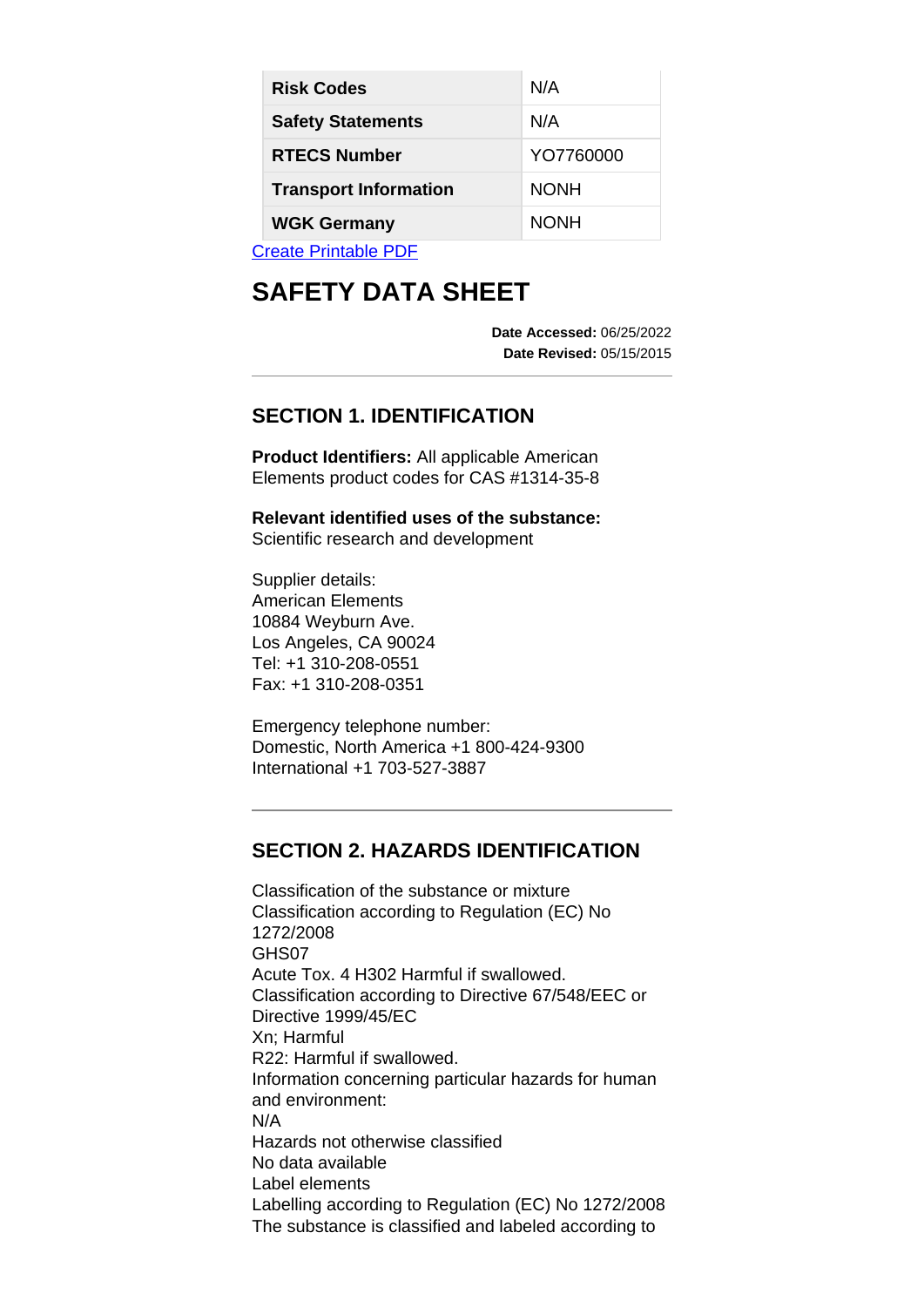| <b>Risk Codes</b>            | N/A         |  |  |
|------------------------------|-------------|--|--|
| <b>Safety Statements</b>     | N/A         |  |  |
| <b>RTECS Number</b>          | YO7760000   |  |  |
| <b>Transport Information</b> | <b>NONH</b> |  |  |
| <b>WGK Germany</b>           | <b>NONH</b> |  |  |
| Valle Daalle DDE             |             |  |  |

[Create Printable PDF](https://www.americanelements.com/printpdf/cas/1314-35-8/sds)

# **SAFETY DATA SHEET**

**Date Accessed:** 06/25/2022 **Date Revised:** 05/15/2015

# **SECTION 1. IDENTIFICATION**

**Product Identifiers:** All applicable American Elements product codes for CAS #1314-35-8

**Relevant identified uses of the substance:** Scientific research and development

Supplier details: American Elements 10884 Weyburn Ave. Los Angeles, CA 90024 Tel: +1 310-208-0551 Fax: +1 310-208-0351

Emergency telephone number: Domestic, North America +1 800-424-9300 International +1 703-527-3887

# **SECTION 2. HAZARDS IDENTIFICATION**

Classification of the substance or mixture Classification according to Regulation (EC) No 1272/2008 GHS07 Acute Tox. 4 H302 Harmful if swallowed. Classification according to Directive 67/548/EEC or Directive 1999/45/EC Xn; Harmful R22: Harmful if swallowed. Information concerning particular hazards for human and environment: N/A Hazards not otherwise classified No data available Label elements Labelling according to Regulation (EC) No 1272/2008 The substance is classified and labeled according to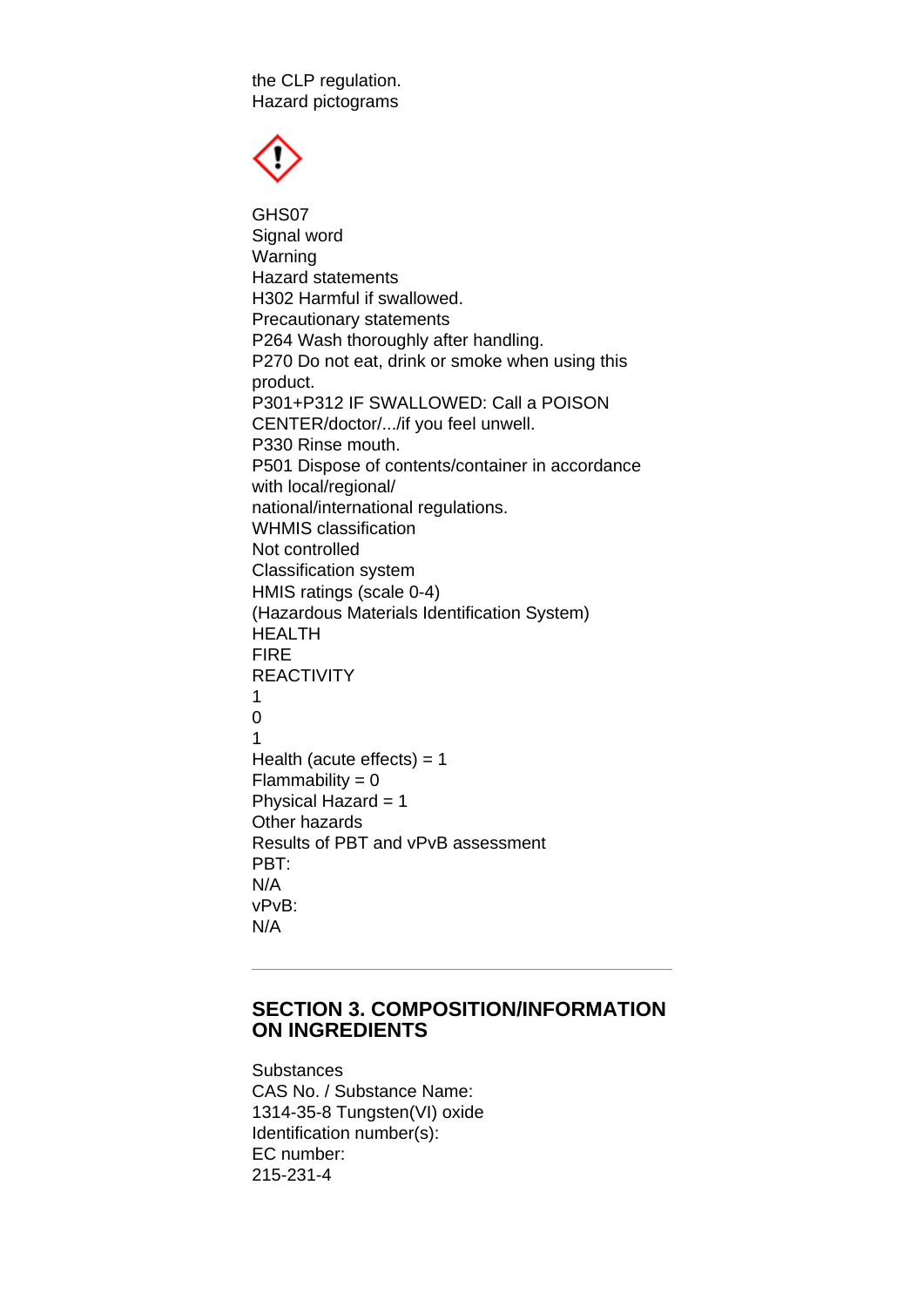the CLP regulation. Hazard pictograms



GHS07 Signal word Warning Hazard statements H302 Harmful if swallowed. Precautionary statements P264 Wash thoroughly after handling. P270 Do not eat, drink or smoke when using this product. P301+P312 IF SWALLOWED: Call a POISON CENTER/doctor/.../if you feel unwell. P330 Rinse mouth. P501 Dispose of contents/container in accordance with local/regional/ national/international regulations. WHMIS classification Not controlled Classification system HMIS ratings (scale 0-4) (Hazardous Materials Identification System) HEALTH FIRE REACTIVITY 1 0 1 Health (acute effects)  $= 1$  $Flammability = 0$ Physical Hazard = 1 Other hazards Results of PBT and vPvB assessment PBT: N/A vPvB: N/A

#### **SECTION 3. COMPOSITION/INFORMATION ON INGREDIENTS**

**Substances** CAS No. / Substance Name: 1314-35-8 Tungsten(VI) oxide Identification number(s): EC number: 215-231-4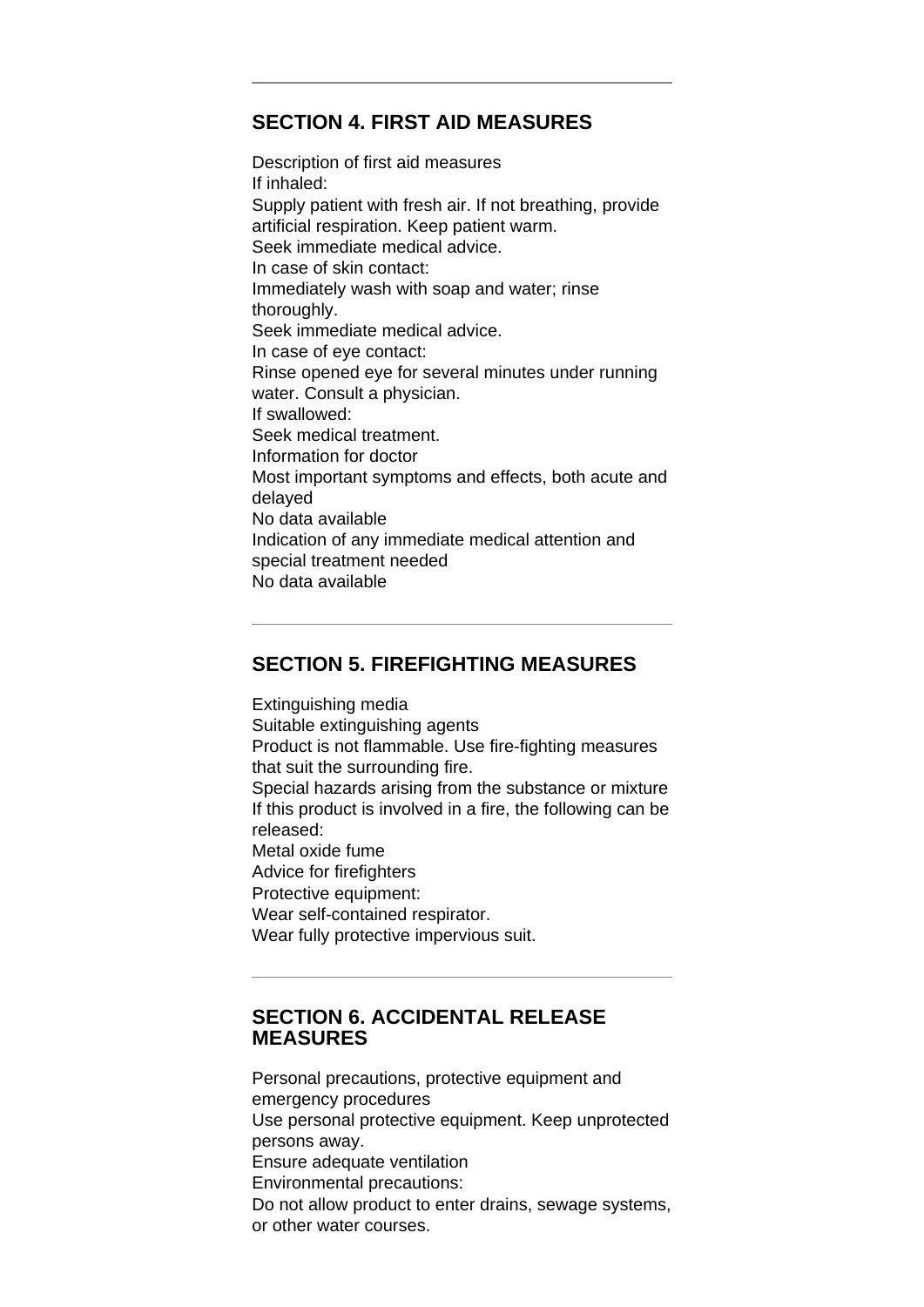## **SECTION 4. FIRST AID MEASURES**

Description of first aid measures If inhaled: Supply patient with fresh air. If not breathing, provide artificial respiration. Keep patient warm. Seek immediate medical advice. In case of skin contact: Immediately wash with soap and water; rinse thoroughly. Seek immediate medical advice. In case of eye contact: Rinse opened eye for several minutes under running water. Consult a physician. If swallowed: Seek medical treatment. Information for doctor Most important symptoms and effects, both acute and delayed No data available Indication of any immediate medical attention and special treatment needed No data available

# **SECTION 5. FIREFIGHTING MEASURES**

Extinguishing media Suitable extinguishing agents Product is not flammable. Use fire-fighting measures that suit the surrounding fire. Special hazards arising from the substance or mixture If this product is involved in a fire, the following can be released: Metal oxide fume Advice for firefighters Protective equipment: Wear self-contained respirator. Wear fully protective impervious suit.

#### **SECTION 6. ACCIDENTAL RELEASE MEASURES**

Personal precautions, protective equipment and emergency procedures Use personal protective equipment. Keep unprotected persons away. Ensure adequate ventilation Environmental precautions: Do not allow product to enter drains, sewage systems, or other water courses.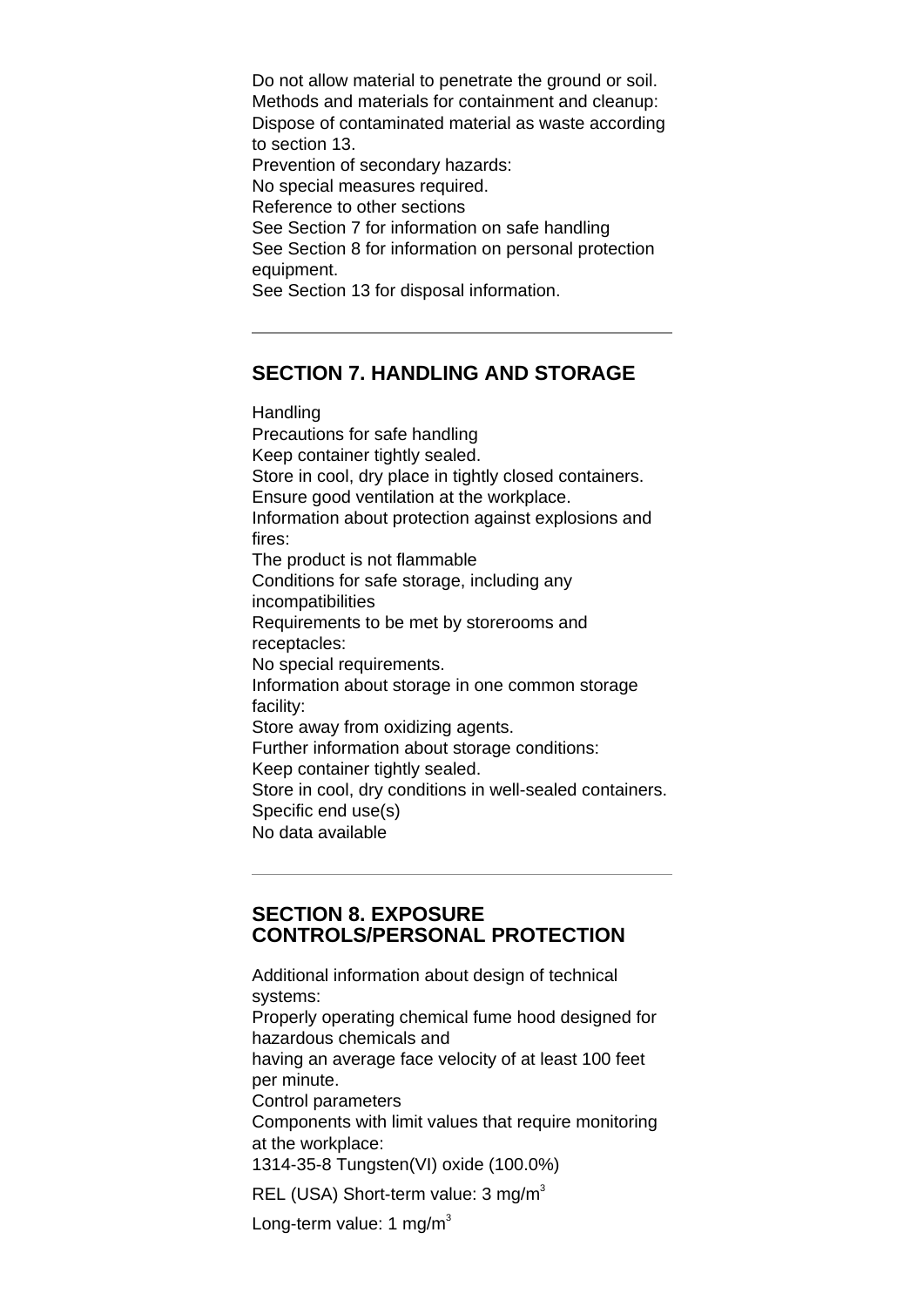Do not allow material to penetrate the ground or soil. Methods and materials for containment and cleanup: Dispose of contaminated material as waste according to section 13. Prevention of secondary hazards: No special measures required. Reference to other sections See Section 7 for information on safe handling See Section 8 for information on personal protection equipment. See Section 13 for disposal information.

# **SECTION 7. HANDLING AND STORAGE**

Handling Precautions for safe handling Keep container tightly sealed. Store in cool, dry place in tightly closed containers. Ensure good ventilation at the workplace. Information about protection against explosions and fires: The product is not flammable Conditions for safe storage, including any incompatibilities Requirements to be met by storerooms and receptacles: No special requirements. Information about storage in one common storage facility: Store away from oxidizing agents. Further information about storage conditions: Keep container tightly sealed. Store in cool, dry conditions in well-sealed containers. Specific end use(s) No data available

## **SECTION 8. EXPOSURE CONTROLS/PERSONAL PROTECTION**

Additional information about design of technical systems: Properly operating chemical fume hood designed for hazardous chemicals and having an average face velocity of at least 100 feet per minute. Control parameters Components with limit values that require monitoring at the workplace: 1314-35-8 Tungsten(VI) oxide (100.0%) REL (USA) Short-term value:  $3 \text{ mg/m}^3$ 

Long-term value: 1 mg/m<sup>3</sup>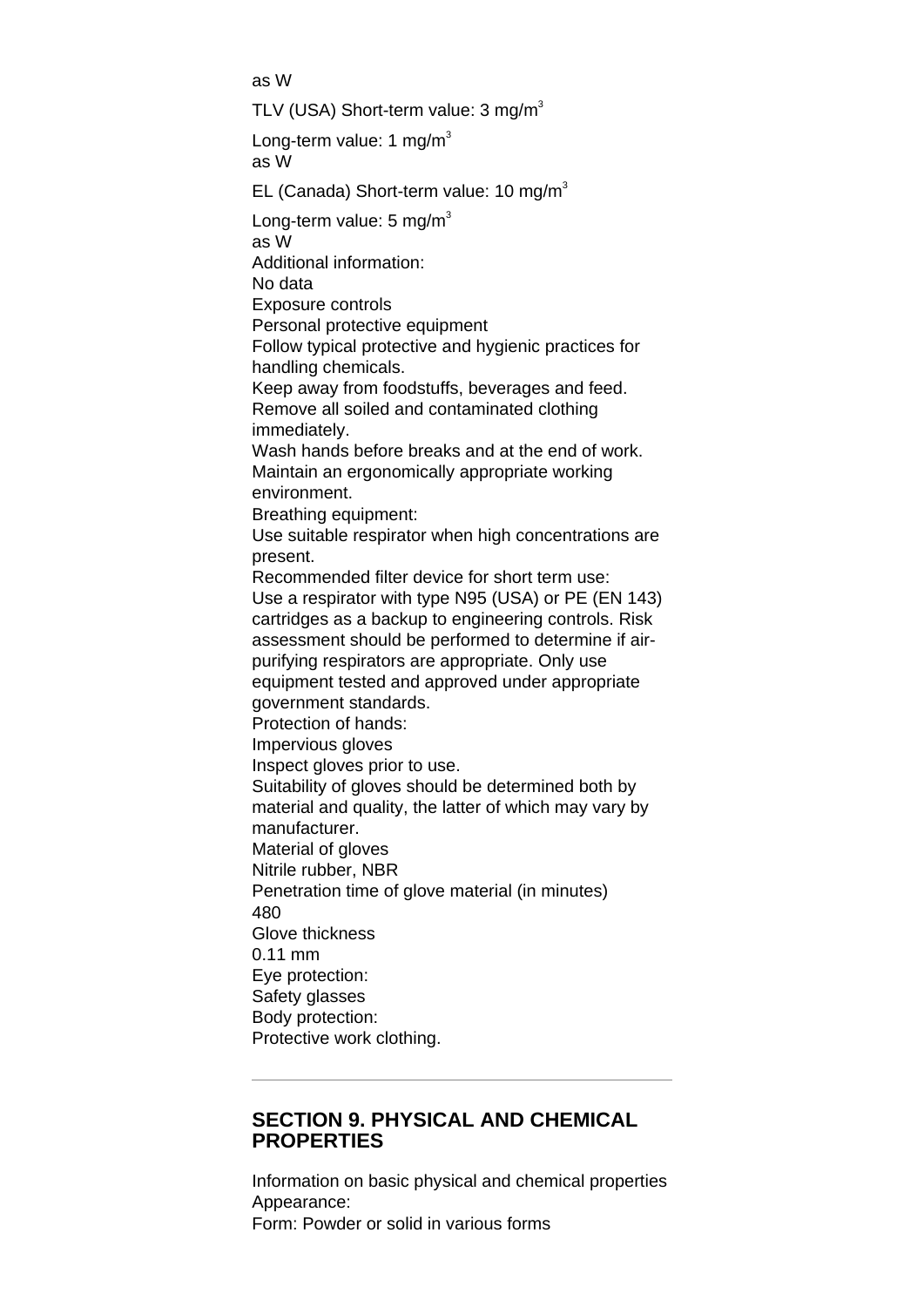as W TLV (USA) Short-term value:  $3 \text{ mg/m}^3$ Long-term value: 1 mg/m<sup>3</sup> as W EL (Canada) Short-term value: 10 mg/m<sup>3</sup> Long-term value:  $5 \text{ mg/m}^3$ as W Additional information: No data Exposure controls Personal protective equipment Follow typical protective and hygienic practices for handling chemicals. Keep away from foodstuffs, beverages and feed. Remove all soiled and contaminated clothing immediately. Wash hands before breaks and at the end of work. Maintain an ergonomically appropriate working environment. Breathing equipment: Use suitable respirator when high concentrations are present. Recommended filter device for short term use: Use a respirator with type N95 (USA) or PE (EN 143) cartridges as a backup to engineering controls. Risk assessment should be performed to determine if airpurifying respirators are appropriate. Only use equipment tested and approved under appropriate government standards. Protection of hands: Impervious gloves Inspect gloves prior to use. Suitability of gloves should be determined both by material and quality, the latter of which may vary by manufacturer. Material of gloves Nitrile rubber, NBR Penetration time of glove material (in minutes) 480 Glove thickness 0.11 mm Eye protection: Safety glasses Body protection: Protective work clothing.

#### **SECTION 9. PHYSICAL AND CHEMICAL PROPERTIES**

Information on basic physical and chemical properties Appearance: Form: Powder or solid in various forms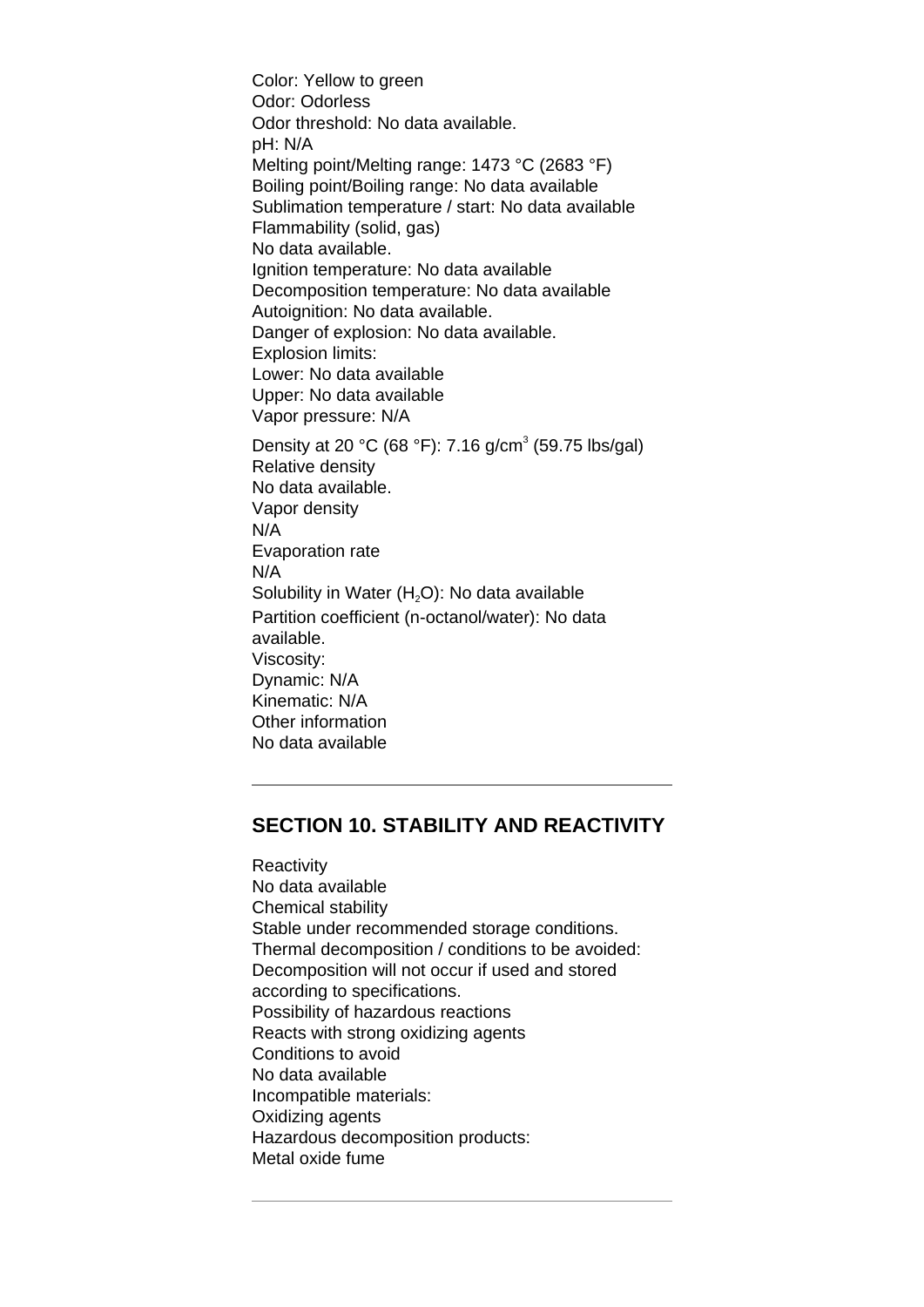Color: Yellow to green Odor: Odorless Odor threshold: No data available. pH: N/A Melting point/Melting range: 1473 °C (2683 °F) Boiling point/Boiling range: No data available Sublimation temperature / start: No data available Flammability (solid, gas) No data available. Ignition temperature: No data available Decomposition temperature: No data available Autoignition: No data available. Danger of explosion: No data available. Explosion limits: Lower: No data available Upper: No data available Vapor pressure: N/A Density at 20 °C (68 °F): 7.16 g/cm<sup>3</sup> (59.75 lbs/gal) Relative density No data available. Vapor density N/A Evaporation rate N/A Solubility in Water  $(H<sub>2</sub>O)$ : No data available Partition coefficient (n-octanol/water): No data available. Viscosity: Dynamic: N/A Kinematic: N/A Other information No data available

# **SECTION 10. STABILITY AND REACTIVITY**

**Reactivity** No data available Chemical stability Stable under recommended storage conditions. Thermal decomposition / conditions to be avoided: Decomposition will not occur if used and stored according to specifications. Possibility of hazardous reactions Reacts with strong oxidizing agents Conditions to avoid No data available Incompatible materials: Oxidizing agents Hazardous decomposition products: Metal oxide fume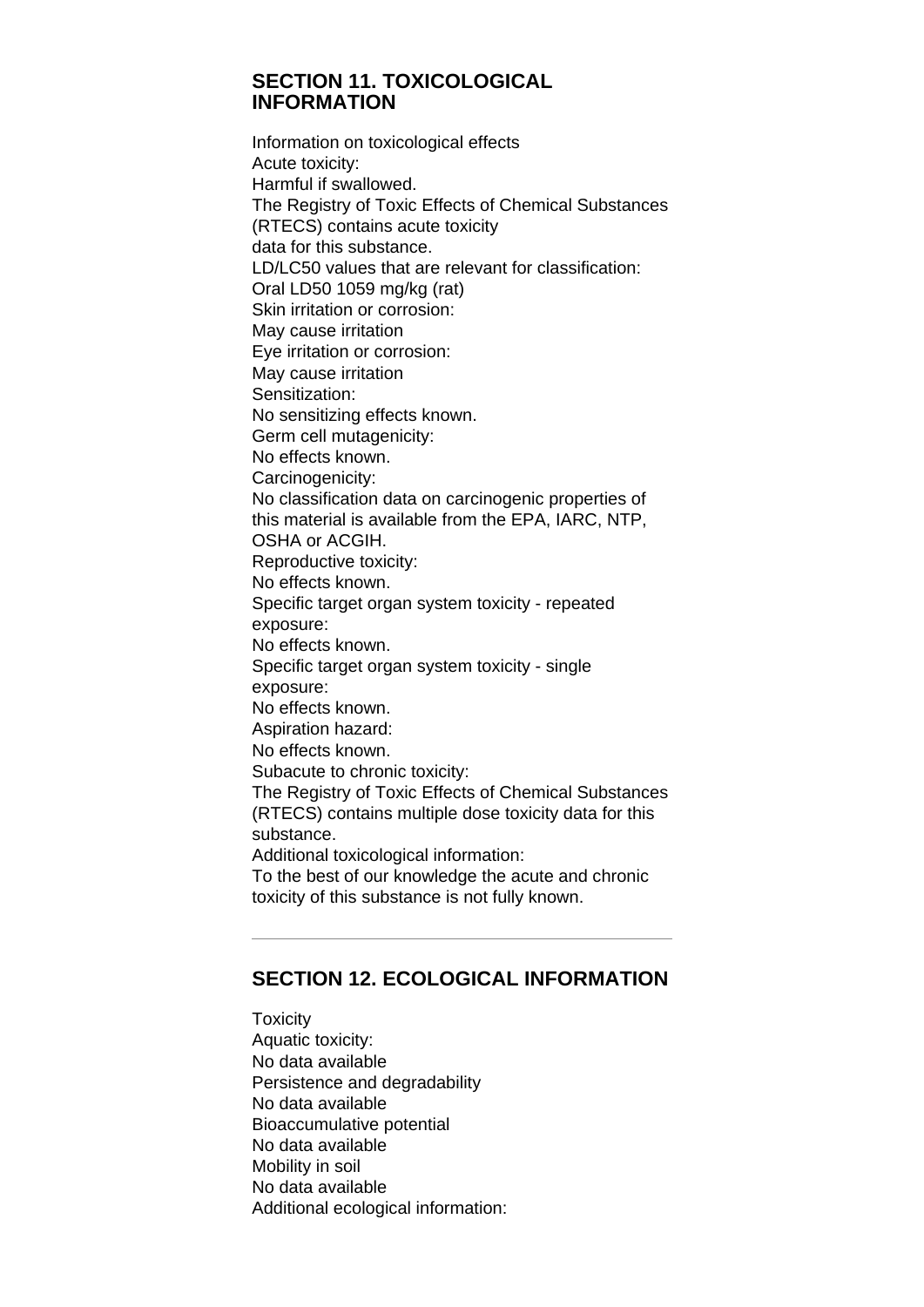## **SECTION 11. TOXICOLOGICAL INFORMATION**

Information on toxicological effects Acute toxicity: Harmful if swallowed. The Registry of Toxic Effects of Chemical Substances (RTECS) contains acute toxicity data for this substance. LD/LC50 values that are relevant for classification: Oral LD50 1059 mg/kg (rat) Skin irritation or corrosion: May cause irritation Eye irritation or corrosion: May cause irritation Sensitization: No sensitizing effects known. Germ cell mutagenicity: No effects known. Carcinogenicity: No classification data on carcinogenic properties of this material is available from the EPA, IARC, NTP, OSHA or ACGIH. Reproductive toxicity: No effects known. Specific target organ system toxicity - repeated exposure: No effects known. Specific target organ system toxicity - single exposure: No effects known. Aspiration hazard: No effects known. Subacute to chronic toxicity: The Registry of Toxic Effects of Chemical Substances (RTECS) contains multiple dose toxicity data for this substance. Additional toxicological information: To the best of our knowledge the acute and chronic toxicity of this substance is not fully known.

# **SECTION 12. ECOLOGICAL INFORMATION**

**Toxicity** Aquatic toxicity: No data available Persistence and degradability No data available Bioaccumulative potential No data available Mobility in soil No data available Additional ecological information: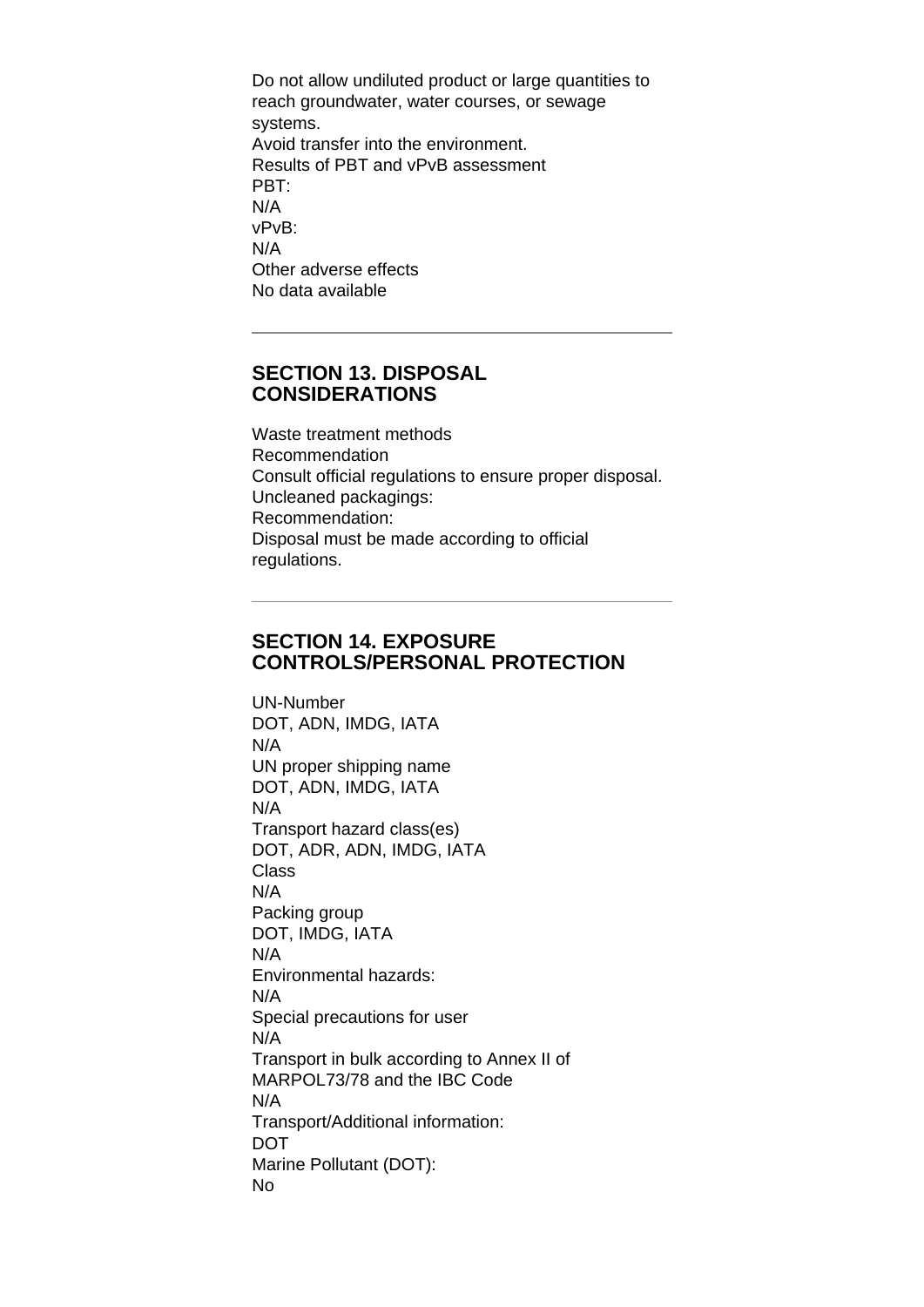Do not allow undiluted product or large quantities to reach groundwater, water courses, or sewage systems. Avoid transfer into the environment. Results of PBT and vPvB assessment PBT: N/A vPvB: N/A Other adverse effects No data available

#### **SECTION 13. DISPOSAL CONSIDERATIONS**

Waste treatment methods Recommendation Consult official regulations to ensure proper disposal. Uncleaned packagings: Recommendation: Disposal must be made according to official regulations.

# **SECTION 14. EXPOSURE CONTROLS/PERSONAL PROTECTION**

UN-Number DOT, ADN, IMDG, IATA N/A UN proper shipping name DOT, ADN, IMDG, IATA N/A Transport hazard class(es) DOT, ADR, ADN, IMDG, IATA Class N/A Packing group DOT, IMDG, IATA N/A Environmental hazards: N/A Special precautions for user N/A Transport in bulk according to Annex II of MARPOL73/78 and the IBC Code N/A Transport/Additional information: DOT Marine Pollutant (DOT): No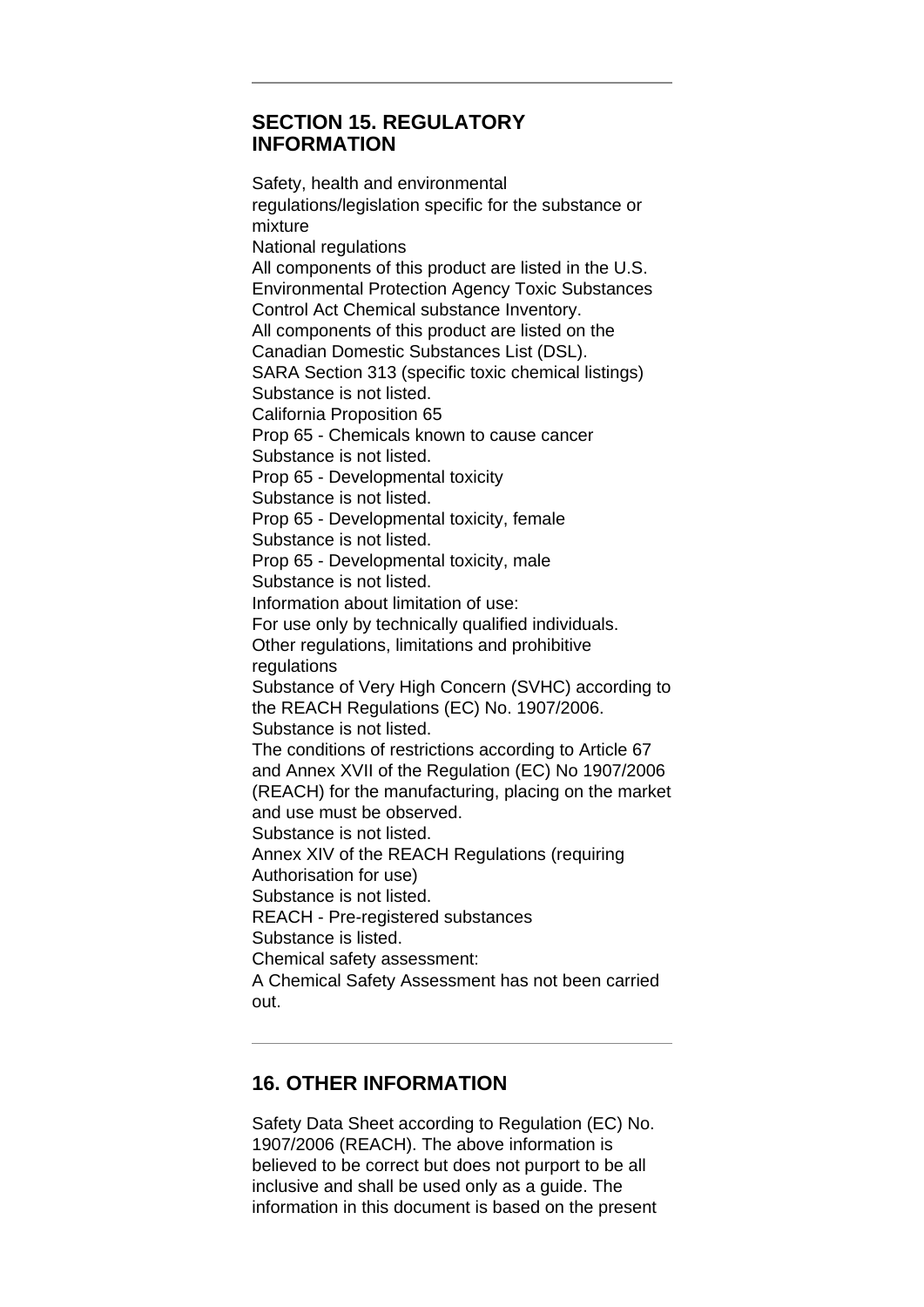## **SECTION 15. REGULATORY INFORMATION**

Safety, health and environmental regulations/legislation specific for the substance or mixture National regulations All components of this product are listed in the U.S. Environmental Protection Agency Toxic Substances Control Act Chemical substance Inventory. All components of this product are listed on the Canadian Domestic Substances List (DSL). SARA Section 313 (specific toxic chemical listings) Substance is not listed. California Proposition 65 Prop 65 - Chemicals known to cause cancer Substance is not listed. Prop 65 - Developmental toxicity Substance is not listed. Prop 65 - Developmental toxicity, female Substance is not listed. Prop 65 - Developmental toxicity, male Substance is not listed. Information about limitation of use: For use only by technically qualified individuals. Other regulations, limitations and prohibitive regulations Substance of Very High Concern (SVHC) according to the REACH Regulations (EC) No. 1907/2006. Substance is not listed. The conditions of restrictions according to Article 67 and Annex XVII of the Regulation (EC) No 1907/2006 (REACH) for the manufacturing, placing on the market and use must be observed. Substance is not listed. Annex XIV of the REACH Regulations (requiring Authorisation for use) Substance is not listed. REACH - Pre-registered substances Substance is listed. Chemical safety assessment: A Chemical Safety Assessment has not been carried out.

# **16. OTHER INFORMATION**

Safety Data Sheet according to Regulation (EC) No. 1907/2006 (REACH). The above information is believed to be correct but does not purport to be all inclusive and shall be used only as a guide. The information in this document is based on the present